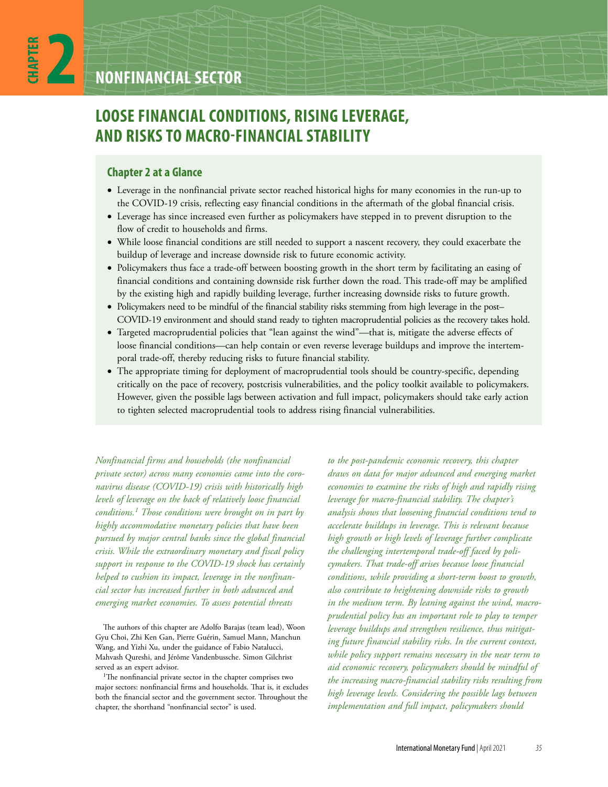**CHAPTER**

# **LOOSE FINANCIAL CONDITIONS, RISING LEVERAGE, AND RISKS TO MACRO-FINANCIAL STABILITY**

# **Chapter 2 at a Glance**

- Leverage in the nonfinancial private sector reached historical highs for many economies in the run-up to the COVID-19 crisis, reflecting easy financial conditions in the aftermath of the global financial crisis.
- Leverage has since increased even further as policymakers have stepped in to prevent disruption to the flow of credit to households and firms.
- While loose financial conditions are still needed to support a nascent recovery, they could exacerbate the buildup of leverage and increase downside risk to future economic activity.
- Policymakers thus face a trade-off between boosting growth in the short term by facilitating an easing of financial conditions and containing downside risk further down the road. This trade-off may be amplified by the existing high and rapidly building leverage, further increasing downside risks to future growth.
- Policymakers need to be mindful of the financial stability risks stemming from high leverage in the post– COVID-19 environment and should stand ready to tighten macroprudential policies as the recovery takes hold.
- Targeted macroprudential policies that "lean against the wind"—that is, mitigate the adverse effects of loose financial conditions—can help contain or even reverse leverage buildups and improve the intertemporal trade-off, thereby reducing risks to future financial stability.
- The appropriate timing for deployment of macroprudential tools should be country-specific, depending critically on the pace of recovery, postcrisis vulnerabilities, and the policy toolkit available to policymakers. However, given the possible lags between activation and full impact, policymakers should take early action to tighten selected macroprudential tools to address rising financial vulnerabilities.

*Nonfinancial firms and households (the nonfinancial private sector) across many economies came into the coronavirus disease (COVID-19) crisis with historically high levels of leverage on the back of relatively loose financial conditions.1 Those conditions were brought on in part by highly accommodative monetary policies that have been pursued by major central banks since the global financial crisis. While the extraordinary monetary and fiscal policy support in response to the COVID-19 shock has certainly helped to cushion its impact, leverage in the nonfinancial sector has increased further in both advanced and emerging market economies. To assess potential threats* 

The authors of this chapter are Adolfo Barajas (team lead), Woon Gyu Choi, Zhi Ken Gan, Pierre Guérin, Samuel Mann, Manchun Wang, and Yizhi Xu, under the guidance of Fabio Natalucci, Mahvash Qureshi, and Jérôme Vandenbussche. Simon Gilchrist served as an expert advisor.

<sup>1</sup>The nonfinancial private sector in the chapter comprises two major sectors: nonfinancial firms and households. That is, it excludes both the financial sector and the government sector. Throughout the chapter, the shorthand "nonfinancial sector" is used.

*to the post-pandemic economic recovery, this chapter draws on data for major advanced and emerging market economies to examine the risks of high and rapidly rising leverage for macro-financial stability. The chapter's analysis shows that loosening financial conditions tend to accelerate buildups in leverage. This is relevant because high growth or high levels of leverage further complicate the challenging intertemporal trade-off faced by policymakers. That trade-off arises because loose financial conditions, while providing a short-term boost to growth, also contribute to heightening downside risks to growth in the medium term. By leaning against the wind, macroprudential policy has an important role to play to temper leverage buildups and strengthen resilience, thus mitigating future financial stability risks. In the current context, while policy support remains necessary in the near term to aid economic recovery, policymakers should be mindful of the increasing macro-financial stability risks resulting from high leverage levels. Considering the possible lags between implementation and full impact, policymakers should*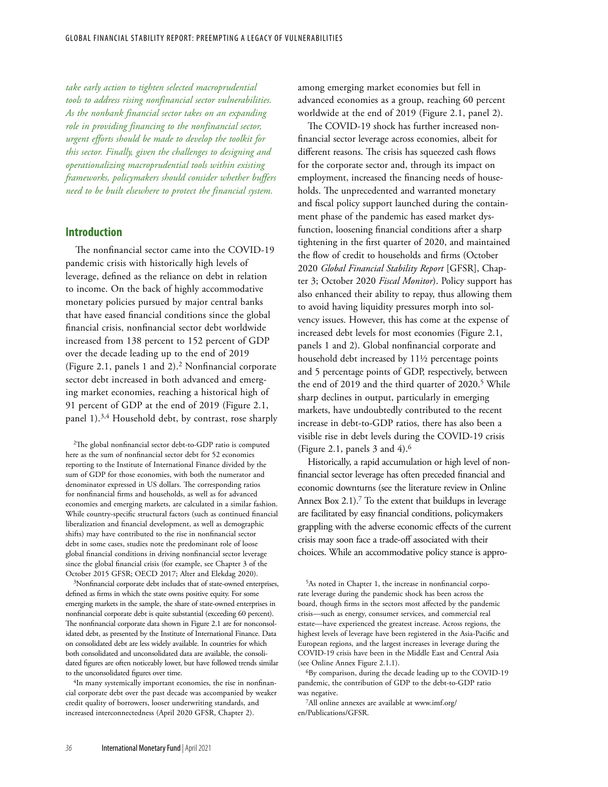*take early action to tighten selected macroprudential tools to address rising nonfinancial sector vulnerabilities. As the nonbank financial sector takes on an expanding role in providing financing to the nonfinancial sector, urgent efforts should be made to develop the toolkit for this sector. Finally, given the challenges to designing and operationalizing macroprudential tools within existing frameworks, policymakers should consider whether buffers need to be built elsewhere to protect the financial system.*

# **Introduction**

The nonfinancial sector came into the COVID-19 pandemic crisis with historically high levels of leverage, defined as the reliance on debt in relation to income. On the back of highly accommodative monetary policies pursued by major central banks that have eased financial conditions since the global financial crisis, nonfinancial sector debt worldwide increased from 138 percent to 152 percent of GDP over the decade leading up to the end of 2019 (Figure 2.1, panels 1 and 2).2 Nonfinancial corporate sector debt increased in both advanced and emerging market economies, reaching a historical high of 91 percent of GDP at the end of 2019 (Figure 2.1, panel 1).3,4 Household debt, by contrast, rose sharply

2The global nonfinancial sector debt-to-GDP ratio is computed here as the sum of nonfinancial sector debt for 52 economies reporting to the Institute of International Finance divided by the sum of GDP for those economies, with both the numerator and denominator expressed in US dollars. The corresponding ratios for nonfinancial firms and households, as well as for advanced economies and emerging markets, are calculated in a similar fashion. While country-specific structural factors (such as continued financial liberalization and financial development, as well as demographic shifts) may have contributed to the rise in nonfinancial sector debt in some cases, studies note the predominant role of loose global financial conditions in driving nonfinancial sector leverage since the global financial crisis (for example, see Chapter 3 of the October 2015 GFSR; OECD 2017; Alter and Elekdag 2020).

3Nonfinancial corporate debt includes that of state-owned enterprises, defined as firms in which the state owns positive equity. For some emerging markets in the sample, the share of state-owned enterprises in nonfinancial corporate debt is quite substantial (exceeding 60 percent). The nonfinancial corporate data shown in Figure 2.1 are for nonconsolidated debt, as presented by the Institute of International Finance. Data on consolidated debt are less widely available. In countries for which both consolidated and unconsolidated data are available, the consolidated figures are often noticeably lower, but have followed trends similar to the unconsolidated figures over time.

4In many systemically important economies, the rise in nonfinancial corporate debt over the past decade was accompanied by weaker credit quality of borrowers, looser underwriting standards, and increased interconnectedness (April 2020 GFSR, Chapter 2).

among emerging market economies but fell in advanced economies as a group, reaching 60 percent worldwide at the end of 2019 (Figure 2.1, panel 2).

The COVID-19 shock has further increased nonfinancial sector leverage across economies, albeit for different reasons. The crisis has squeezed cash flows for the corporate sector and, through its impact on employment, increased the financing needs of households. The unprecedented and warranted monetary and fiscal policy support launched during the containment phase of the pandemic has eased market dysfunction, loosening financial conditions after a sharp tightening in the first quarter of 2020, and maintained the flow of credit to households and firms (October 2020 *Global Financial Stability Report* [GFSR], Chapter 3; October 2020 *Fiscal Monitor*). Policy support has also enhanced their ability to repay, thus allowing them to avoid having liquidity pressures morph into solvency issues. However, this has come at the expense of increased debt levels for most economies (Figure 2.1, panels 1 and 2). Global nonfinancial corporate and household debt increased by 11½ percentage points and 5 percentage points of GDP, respectively, between the end of 2019 and the third quarter of 2020.<sup>5</sup> While sharp declines in output, particularly in emerging markets, have undoubtedly contributed to the recent increase in debt-to-GDP ratios, there has also been a visible rise in debt levels during the COVID-19 crisis (Figure 2.1, panels 3 and 4).6

Historically, a rapid accumulation or high level of nonfinancial sector leverage has often preceded financial and economic downturns (see the literature review in Online Annex Box 2.1).<sup>7</sup> To the extent that buildups in leverage are facilitated by easy financial conditions, policymakers grappling with the adverse economic effects of the current crisis may soon face a trade-off associated with their choices. While an accommodative policy stance is appro-

5As noted in Chapter 1, the increase in nonfinancial corporate leverage during the pandemic shock has been across the board, though firms in the sectors most affected by the pandemic crisis—such as energy, consumer services, and commercial real estate—have experienced the greatest increase. Across regions, the highest levels of leverage have been registered in the Asia-Pacific and European regions, and the largest increases in leverage during the COVID-19 crisis have been in the Middle East and Central Asia (see Online Annex Figure 2.1.1).

6By comparison, during the decade leading up to the COVID-19 pandemic, the contribution of GDP to the debt-to-GDP ratio was negative.

7All online annexes are available at www.imf.org/ en/Publications/GFSR.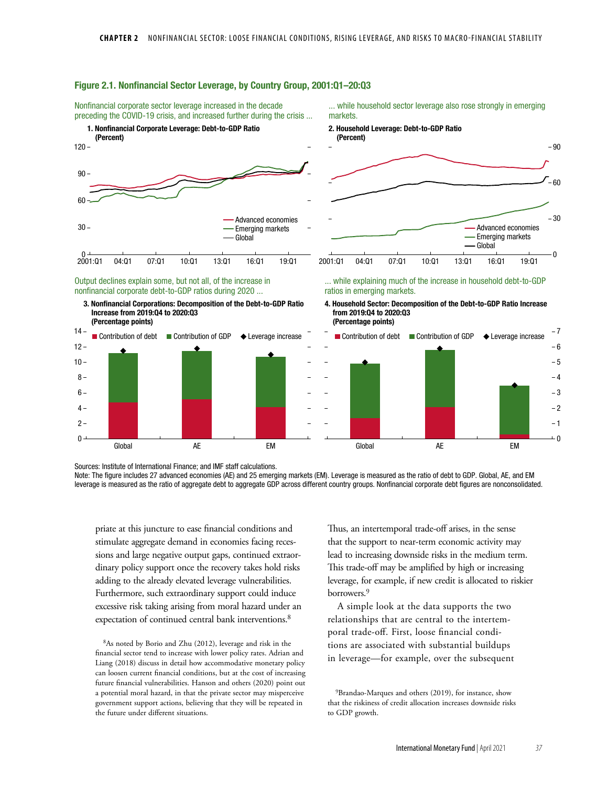

## Figure 2.1. Nonfinancial Sector Leverage, by Country Group, 2001:Q1–20:Q3

 $\Omega$  $2 4 6 8 -2$  $-1$ 3 Global AE EM Global AE EM

Sources: Institute of International Finance; and IMF staff calculations. Note: The figure includes 27 advanced economies (AE) and 25 emerging markets (EM). Leverage is measured as the ratio of debt to GDP. Global, AE, and EM leverage is measured as the ratio of aggregate debt to aggregate GDP across different country groups. Nonfinancial corporate debt figures are nonconsolidated.

priate at this juncture to ease financial conditions and stimulate aggregate demand in economies facing recessions and large negative output gaps, continued extraordinary policy support once the recovery takes hold risks adding to the already elevated leverage vulnerabilities. Furthermore, such extraordinary support could induce excessive risk taking arising from moral hazard under an expectation of continued central bank interventions.<sup>8</sup>

 $10 -$ 

8As noted by Borio and Zhu (2012), leverage and risk in the financial sector tend to increase with lower policy rates. Adrian and Liang (2018) discuss in detail how accommodative monetary policy can loosen current financial conditions, but at the cost of increasing future financial vulnerabilities. Hanson and others (2020) point out a potential moral hazard, in that the private sector may misperceive government support actions, believing that they will be repeated in the future under different situations.

Thus, an intertemporal trade-off arises, in the sense that the support to near-term economic activity may lead to increasing downside risks in the medium term. This trade-off may be amplified by high or increasing leverage, for example, if new credit is allocated to riskier borrowers.9

 $\overline{0}$ 

5 4

A simple look at the data supports the two relationships that are central to the intertemporal trade-off. First, loose financial conditions are associated with substantial buildups in leverage—for example, over the subsequent

 $9B$ randao-Marques and others (2019), for instance, show that the riskiness of credit allocation increases downside risks to GDP growth.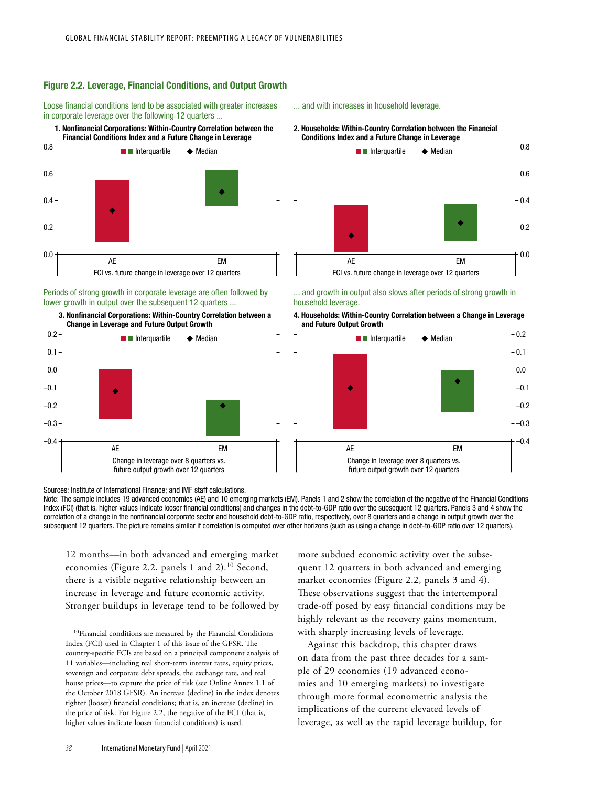### Figure 2.2. Leverage, Financial Conditions, and Output Growth

Loose financial conditions tend to be associated with greater increases in corporate leverage over the following 12 quarters ...





#### Periods of strong growth in corporate leverage are often followed by lower growth in output over the subsequent 12 quarters ...

3. Nonfinancial Corporations: Within-Country Correlation between a



#### ... and with increases in household leverage.

#### 2. Households: Within-Country Correlation between the Financial Conditions Index and a Future Change in Leverage



#### ... and growth in output also slows after periods of strong growth in household leverage.

4. Households: Within-Country Correlation between a Change in Leverage and Future Output Growth



Sources: Institute of International Finance; and IMF staff calculations.

Note: The sample includes 19 advanced economies (AE) and 10 emerging markets (EM). Panels 1 and 2 show the correlation of the negative of the Financial Conditions Index (FCI) (that is, higher values indicate looser financial conditions) and changes in the debt-to-GDP ratio over the subsequent 12 quarters. Panels 3 and 4 show the correlation of a change in the nonfinancial corporate sector and household debt-to-GDP ratio, respectively, over 8 quarters and a change in output growth over the subsequent 12 quarters. The picture remains similar if correlation is computed over other horizons (such as using a change in debt-to-GDP ratio over 12 quarters).

12 months—in both advanced and emerging market economies (Figure 2.2, panels 1 and 2).10 Second, there is a visible negative relationship between an increase in leverage and future economic activity. Stronger buildups in leverage tend to be followed by

10Financial conditions are measured by the Financial Conditions Index (FCI) used in Chapter 1 of this issue of the GFSR. The country-specific FCIs are based on a principal component analysis of 11 variables—including real short-term interest rates, equity prices, sovereign and corporate debt spreads, the exchange rate, and real house prices—to capture the price of risk (see Online Annex 1.1 of the October 2018 GFSR). An increase (decline) in the index denotes tighter (looser) financial conditions; that is, an increase (decline) in the price of risk. For Figure 2.2, the negative of the FCI (that is, higher values indicate looser financial conditions) is used.

more subdued economic activity over the subsequent 12 quarters in both advanced and emerging market economies (Figure 2.2, panels 3 and 4). These observations suggest that the intertemporal trade-off posed by easy financial conditions may be highly relevant as the recovery gains momentum, with sharply increasing levels of leverage.

Against this backdrop, this chapter draws on data from the past three decades for a sample of 29 economies (19 advanced economies and 10 emerging markets) to investigate through more formal econometric analysis the implications of the current elevated levels of leverage, as well as the rapid leverage buildup, for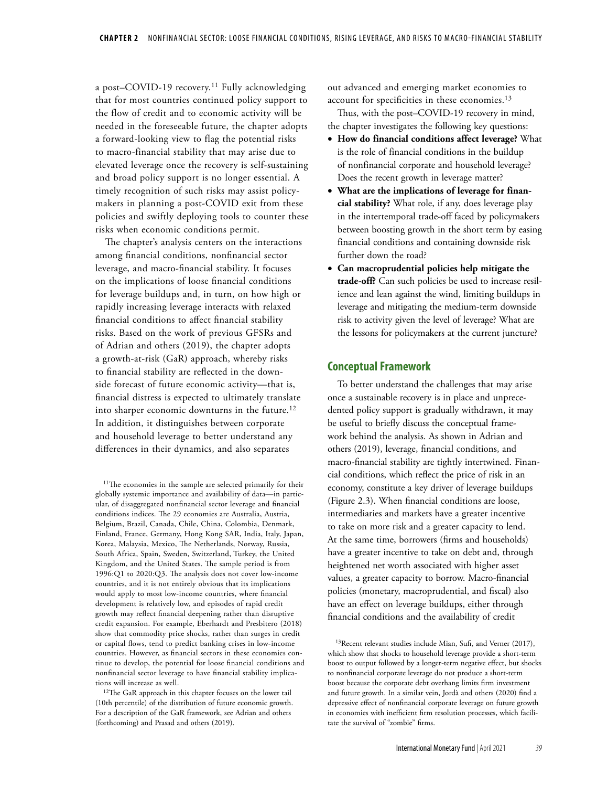a post-COVID-19 recovery.<sup>11</sup> Fully acknowledging that for most countries continued policy support to the flow of credit and to economic activity will be needed in the foreseeable future, the chapter adopts a forward-looking view to flag the potential risks to macro-financial stability that may arise due to elevated leverage once the recovery is self-sustaining and broad policy support is no longer essential. A timely recognition of such risks may assist policymakers in planning a post-COVID exit from these policies and swiftly deploying tools to counter these risks when economic conditions permit.

The chapter's analysis centers on the interactions among financial conditions, nonfinancial sector leverage, and macro-financial stability. It focuses on the implications of loose financial conditions for leverage buildups and, in turn, on how high or rapidly increasing leverage interacts with relaxed financial conditions to affect financial stability risks. Based on the work of previous GFSRs and of Adrian and others (2019), the chapter adopts a growth-at-risk (GaR) approach, whereby risks to financial stability are reflected in the downside forecast of future economic activity—that is, financial distress is expected to ultimately translate into sharper economic downturns in the future.12 In addition, it distinguishes between corporate and household leverage to better understand any differences in their dynamics, and also separates

<sup>11</sup>The economies in the sample are selected primarily for their globally systemic importance and availability of data—in particular, of disaggregated nonfinancial sector leverage and financial conditions indices. The 29 economies are Australia, Austria, Belgium, Brazil, Canada, Chile, China, Colombia, Denmark, Finland, France, Germany, Hong Kong SAR, India, Italy, Japan, Korea, Malaysia, Mexico, The Netherlands, Norway, Russia, South Africa, Spain, Sweden, Switzerland, Turkey, the United Kingdom, and the United States. The sample period is from 1996:Q1 to 2020:Q3. The analysis does not cover low-income countries, and it is not entirely obvious that its implications would apply to most low-income countries, where financial development is relatively low, and episodes of rapid credit growth may reflect financial deepening rather than disruptive credit expansion. For example, Eberhardt and Presbitero (2018) show that commodity price shocks, rather than surges in credit or capital flows, tend to predict banking crises in low-income countries. However, as financial sectors in these economies continue to develop, the potential for loose financial conditions and nonfinancial sector leverage to have financial stability implications will increase as well.

<sup>12</sup>The GaR approach in this chapter focuses on the lower tail (10th percentile) of the distribution of future economic growth. For a description of the GaR framework, see Adrian and others (forthcoming) and Prasad and others (2019).

out advanced and emerging market economies to account for specificities in these economies.<sup>13</sup>

Thus, with the post–COVID-19 recovery in mind, the chapter investigates the following key questions:

- **How do financial conditions affect leverage?** What is the role of financial conditions in the buildup of nonfinancial corporate and household leverage? Does the recent growth in leverage matter?
- **What are the implications of leverage for financial stability?** What role, if any, does leverage play in the intertemporal trade-off faced by policymakers between boosting growth in the short term by easing financial conditions and containing downside risk further down the road?
- **Can macroprudential policies help mitigate the trade-off?** Can such policies be used to increase resilience and lean against the wind, limiting buildups in leverage and mitigating the medium-term downside risk to activity given the level of leverage? What are the lessons for policymakers at the current juncture?

## **Conceptual Framework**

To better understand the challenges that may arise once a sustainable recovery is in place and unprecedented policy support is gradually withdrawn, it may be useful to briefly discuss the conceptual framework behind the analysis. As shown in Adrian and others (2019), leverage, financial conditions, and macro-financial stability are tightly intertwined. Financial conditions, which reflect the price of risk in an economy, constitute a key driver of leverage buildups (Figure 2.3). When financial conditions are loose, intermediaries and markets have a greater incentive to take on more risk and a greater capacity to lend. At the same time, borrowers (firms and households) have a greater incentive to take on debt and, through heightened net worth associated with higher asset values, a greater capacity to borrow. Macro-financial policies (monetary, macroprudential, and fiscal) also have an effect on leverage buildups, either through financial conditions and the availability of credit

13Recent relevant studies include Mian, Sufi, and Verner (2017), which show that shocks to household leverage provide a short-term boost to output followed by a longer-term negative effect, but shocks to nonfinancial corporate leverage do not produce a short-term boost because the corporate debt overhang limits firm investment and future growth. In a similar vein, Jordà and others (2020) find a depressive effect of nonfinancial corporate leverage on future growth in economies with inefficient firm resolution processes, which facilitate the survival of "zombie" firms.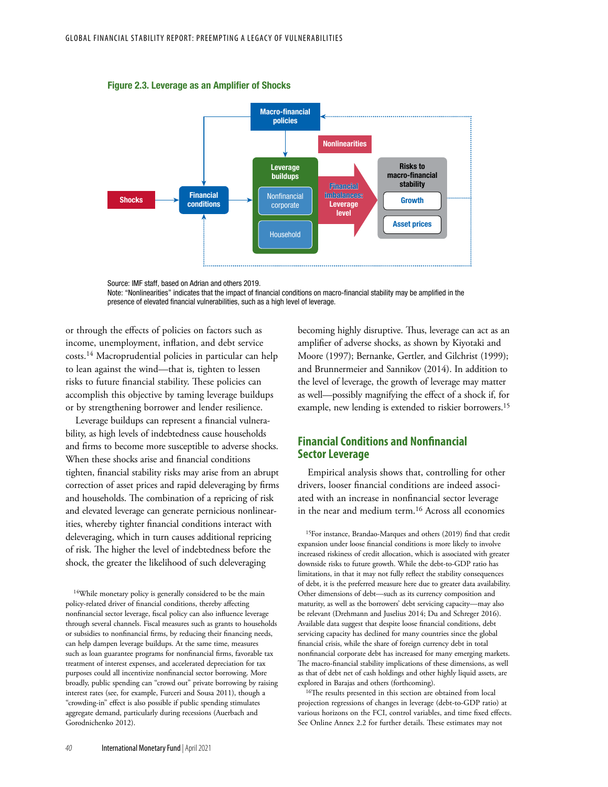Figure 2.3. Leverage as an Amplifier of Shocks



Source: IMF staff, based on Adrian and others 2019.

or through the effects of policies on factors such as income, unemployment, inflation, and debt service costs.14 Macroprudential policies in particular can help to lean against the wind—that is, tighten to lessen risks to future financial stability. These policies can accomplish this objective by taming leverage buildups or by strengthening borrower and lender resilience.

Leverage buildups can represent a financial vulnerability, as high levels of indebtedness cause households and firms to become more susceptible to adverse shocks. When these shocks arise and financial conditions tighten, financial stability risks may arise from an abrupt correction of asset prices and rapid deleveraging by firms and households. The combination of a repricing of risk and elevated leverage can generate pernicious nonlinearities, whereby tighter financial conditions interact with deleveraging, which in turn causes additional repricing of risk. The higher the level of indebtedness before the shock, the greater the likelihood of such deleveraging

<sup>14</sup>While monetary policy is generally considered to be the main policy-related driver of financial conditions, thereby affecting nonfinancial sector leverage, fiscal policy can also influence leverage through several channels. Fiscal measures such as grants to households or subsidies to nonfinancial firms, by reducing their financing needs, can help dampen leverage buildups. At the same time, measures such as loan guarantee programs for nonfinancial firms, favorable tax treatment of interest expenses, and accelerated depreciation for tax purposes could all incentivize nonfinancial sector borrowing. More broadly, public spending can "crowd out" private borrowing by raising interest rates (see, for example, Furceri and Sousa 2011), though a "crowding-in" effect is also possible if public spending stimulates aggregate demand, particularly during recessions (Auerbach and Gorodnichenko 2012).

becoming highly disruptive. Thus, leverage can act as an amplifier of adverse shocks, as shown by Kiyotaki and Moore (1997); Bernanke, Gertler, and Gilchrist (1999); and Brunnermeier and Sannikov (2014). In addition to the level of leverage, the growth of leverage may matter as well—possibly magnifying the effect of a shock if, for example, new lending is extended to riskier borrowers.15

# **Financial Conditions and Nonfinancial Sector Leverage**

Empirical analysis shows that, controlling for other drivers, looser financial conditions are indeed associated with an increase in nonfinancial sector leverage in the near and medium term.16 Across all economies

15For instance, Brandao-Marques and others (2019) find that credit expansion under loose financial conditions is more likely to involve increased riskiness of credit allocation, which is associated with greater downside risks to future growth. While the debt-to-GDP ratio has limitations, in that it may not fully reflect the stability consequences of debt, it is the preferred measure here due to greater data availability. Other dimensions of debt—such as its currency composition and maturity, as well as the borrowers' debt servicing capacity—may also be relevant (Drehmann and Juselius 2014; Du and Schreger 2016). Available data suggest that despite loose financial conditions, debt servicing capacity has declined for many countries since the global financial crisis, while the share of foreign currency debt in total nonfinancial corporate debt has increased for many emerging markets. The macro-financial stability implications of these dimensions, as well as that of debt net of cash holdings and other highly liquid assets, are explored in Barajas and others (forthcoming).

<sup>16</sup>The results presented in this section are obtained from local projection regressions of changes in leverage (debt-to-GDP ratio) at various horizons on the FCI, control variables, and time fixed effects. See Online Annex 2.2 for further details. These estimates may not

Note: "Nonlinearities" indicates that the impact of financial conditions on macro-financial stability may be amplified in the presence of elevated financial vulnerabilities, such as a high level of leverage.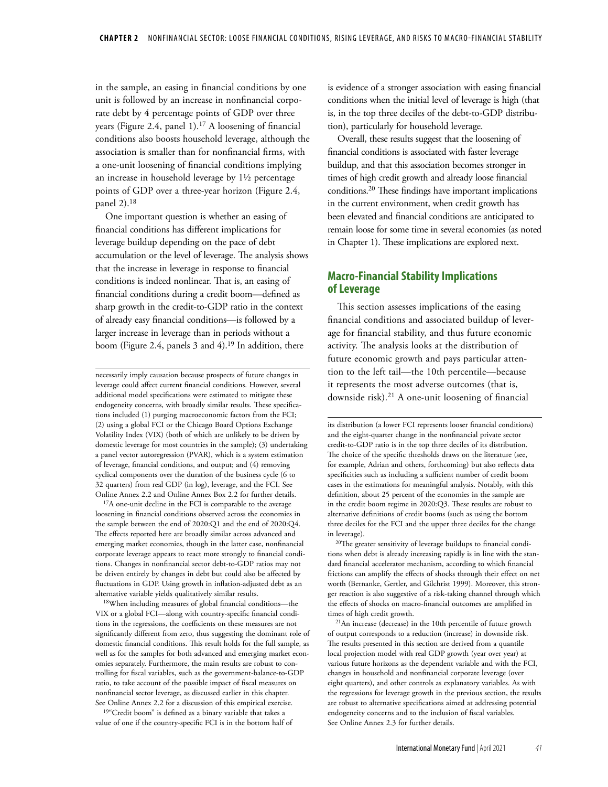in the sample, an easing in financial conditions by one unit is followed by an increase in nonfinancial corporate debt by 4 percentage points of GDP over three years (Figure 2.4, panel 1).<sup>17</sup> A loosening of financial conditions also boosts household leverage, although the association is smaller than for nonfinancial firms, with a one-unit loosening of financial conditions implying an increase in household leverage by 1½ percentage points of GDP over a three-year horizon (Figure 2.4, panel 2).18

One important question is whether an easing of financial conditions has different implications for leverage buildup depending on the pace of debt accumulation or the level of leverage. The analysis shows that the increase in leverage in response to financial conditions is indeed nonlinear. That is, an easing of financial conditions during a credit boom—defined as sharp growth in the credit-to-GDP ratio in the context of already easy financial conditions—is followed by a larger increase in leverage than in periods without a boom (Figure 2.4, panels 3 and 4).<sup>19</sup> In addition, there

necessarily imply causation because prospects of future changes in leverage could affect current financial conditions. However, several additional model specifications were estimated to mitigate these endogeneity concerns, with broadly similar results. These specifications included (1) purging macroeconomic factors from the FCI; (2) using a global FCI or the Chicago Board Options Exchange Volatility Index (VIX) (both of which are unlikely to be driven by domestic leverage for most countries in the sample); (3) undertaking a panel vector autoregression (PVAR), which is a system estimation of leverage, financial conditions, and output; and (4) removing cyclical components over the duration of the business cycle (6 to 32 quarters) from real GDP (in log), leverage, and the FCI. See Online Annex 2.2 and Online Annex Box 2.2 for further details.

<sup>17</sup>A one-unit decline in the FCI is comparable to the average loosening in financial conditions observed across the economies in the sample between the end of 2020:Q1 and the end of 2020:Q4. The effects reported here are broadly similar across advanced and emerging market economies, though in the latter case, nonfinancial corporate leverage appears to react more strongly to financial conditions. Changes in nonfinancial sector debt-to-GDP ratios may not be driven entirely by changes in debt but could also be affected by fluctuations in GDP. Using growth in inflation-adjusted debt as an alternative variable yields qualitatively similar results.

18When including measures of global financial conditions—the VIX or a global FCI—along with country-specific financial conditions in the regressions, the coefficients on these measures are not significantly different from zero, thus suggesting the dominant role of domestic financial conditions. This result holds for the full sample, as well as for the samples for both advanced and emerging market economies separately. Furthermore, the main results are robust to controlling for fiscal variables, such as the government-balance-to-GDP ratio, to take account of the possible impact of fiscal measures on nonfinancial sector leverage, as discussed earlier in this chapter. See Online Annex 2.2 for a discussion of this empirical exercise.

19"Credit boom" is defined as a binary variable that takes a value of one if the country-specific FCI is in the bottom half of is evidence of a stronger association with easing financial conditions when the initial level of leverage is high (that is, in the top three deciles of the debt-to-GDP distribution), particularly for household leverage.

Overall, these results suggest that the loosening of financial conditions is associated with faster leverage buildup, and that this association becomes stronger in times of high credit growth and already loose financial conditions.20 These findings have important implications in the current environment, when credit growth has been elevated and financial conditions are anticipated to remain loose for some time in several economies (as noted in Chapter 1). These implications are explored next.

# **Macro-Financial Stability Implications of Leverage**

This section assesses implications of the easing financial conditions and associated buildup of leverage for financial stability, and thus future economic activity. The analysis looks at the distribution of future economic growth and pays particular attention to the left tail—the 10th percentile—because it represents the most adverse outcomes (that is, downside risk).21 A one-unit loosening of financial

<sup>20</sup>The greater sensitivity of leverage buildups to financial conditions when debt is already increasing rapidly is in line with the standard financial accelerator mechanism, according to which financial frictions can amplify the effects of shocks through their effect on net worth (Bernanke, Gertler, and Gilchrist 1999). Moreover, this stronger reaction is also suggestive of a risk-taking channel through which the effects of shocks on macro-financial outcomes are amplified in times of high credit growth.

21An increase (decrease) in the 10th percentile of future growth of output corresponds to a reduction (increase) in downside risk. The results presented in this section are derived from a quantile local projection model with real GDP growth (year over year) at various future horizons as the dependent variable and with the FCI, changes in household and nonfinancial corporate leverage (over eight quarters), and other controls as explanatory variables. As with the regressions for leverage growth in the previous section, the results are robust to alternative specifications aimed at addressing potential endogeneity concerns and to the inclusion of fiscal variables. See Online Annex 2.3 for further details.

its distribution (a lower FCI represents looser financial conditions) and the eight-quarter change in the nonfinancial private sector credit-to-GDP ratio is in the top three deciles of its distribution. The choice of the specific thresholds draws on the literature (see, for example, Adrian and others, forthcoming) but also reflects data specificities such as including a sufficient number of credit boom cases in the estimations for meaningful analysis. Notably, with this definition, about 25 percent of the economies in the sample are in the credit boom regime in 2020:Q3. These results are robust to alternative definitions of credit booms (such as using the bottom three deciles for the FCI and the upper three deciles for the change in leverage).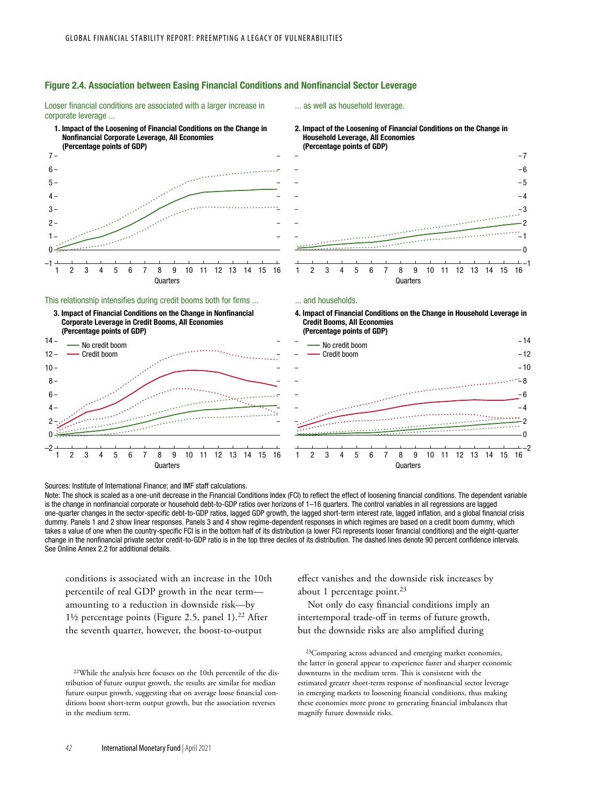

Looser financial conditions are associated with a larger increase in corporate leverage ...

## ... as well as household leverage.



#### This relationship intensifies during credit booms both for firms ...





# 2. Impact of the Loosening of Financial Conditions on the Change in Household Leverage, All Economies (Percentage points of GDP)



#### ... and households.





Sources: Institute of International Finance; and IMF staff calculations.

Note: The shock is scaled as a one-unit decrease in the Financial Conditions Index (FCI) to reflect the effect of loosening financial conditions. The dependent variable is the change in nonfinancial corporate or household debt-to-GDP ratios over horizons of 1–16 quarters. The control variables in all regressions are lagged one-quarter changes in the sector-specific debt-to-GDP ratios, lagged GDP growth, the lagged short-term interest rate, lagged inflation, and a global financial crisis dummy. Panels 1 and 2 show linear responses. Panels 3 and 4 show regime-dependent responses in which regimes are based on a credit boom dummy, which takes a value of one when the country-specific FCI is in the bottom half of its distribution (a lower FCI represents looser financial conditions) and the eight-quarter change in the nonfinancial private sector credit-to-GDP ratio is in the top three deciles of its distribution. The dashed lines denote 90 percent confidence intervals. See Online Annex 2.2 for additional details.

conditions is associated with an increase in the 10th percentile of real GDP growth in the near term amounting to a reduction in downside risk—by 1½ percentage points (Figure 2.5, panel 1).<sup>22</sup> After the seventh quarter, however, the boost-to-output

22While the analysis here focuses on the 10th percentile of the distribution of future output growth, the results are similar for median future output growth, suggesting that on average loose financial conditions boost short-term output growth, but the association reverses in the medium term.

effect vanishes and the downside risk increases by about 1 percentage point.<sup>23</sup>

Not only do easy financial conditions imply an intertemporal trade-off in terms of future growth, but the downside risks are also amplified during

23Comparing across advanced and emerging market economies, the latter in general appear to experience faster and sharper economic downturns in the medium term. This is consistent with the estimated greater short-term response of nonfinancial sector leverage in emerging markets to loosening financial conditions, thus making these economies more prone to generating financial imbalances that magnify future downside risks.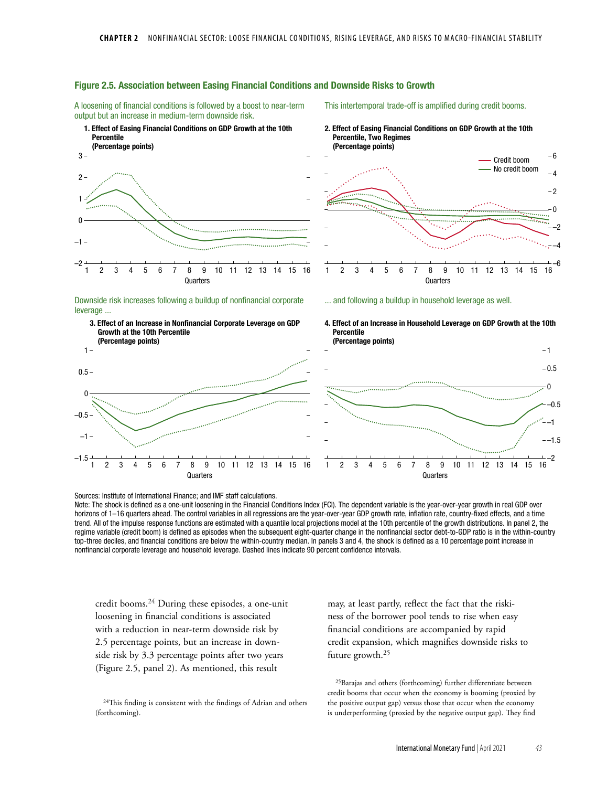

## Figure 2.5. Association between Easing Financial Conditions and Downside Risks to Growth

A loosening of financial conditions is followed by a boost to near-term

This intertemporal trade-off is amplified during credit booms.

Sources: Institute of International Finance; and IMF staff calculations. Note: The shock is defined as a one-unit loosening in the Financial Conditions Index (FCI). The dependent variable is the year-over-year growth in real GDP over horizons of 1–16 quarters ahead. The control variables in all regressions are the year-over-year GDP growth rate, inflation rate, country-fixed effects, and a time trend. All of the impulse response functions are estimated with a quantile local projections model at the 10th percentile of the growth distributions. In panel 2, the regime variable (credit boom) is defined as episodes when the subsequent eight-quarter change in the nonfinancial sector debt-to-GDP ratio is in the within-country top-three deciles, and financial conditions are below the within-country median. In panels 3 and 4, the shock is defined as a 10 percentage point increase in nonfinancial corporate leverage and household leverage. Dashed lines indicate 90 percent confidence intervals.

Quarters Quarters

credit booms.24 During these episodes, a one-unit loosening in financial conditions is associated with a reduction in near-term downside risk by 2.5 percentage points, but an increase in downside risk by 3.3 percentage points after two years (Figure 2.5, panel 2). As mentioned, this result

<sup>24</sup>This finding is consistent with the findings of Adrian and others (forthcoming).

may, at least partly, reflect the fact that the riskiness of the borrower pool tends to rise when easy financial conditions are accompanied by rapid credit expansion, which magnifies downside risks to future growth.25

25Barajas and others (forthcoming) further differentiate between credit booms that occur when the economy is booming (proxied by the positive output gap) versus those that occur when the economy is underperforming (proxied by the negative output gap). They find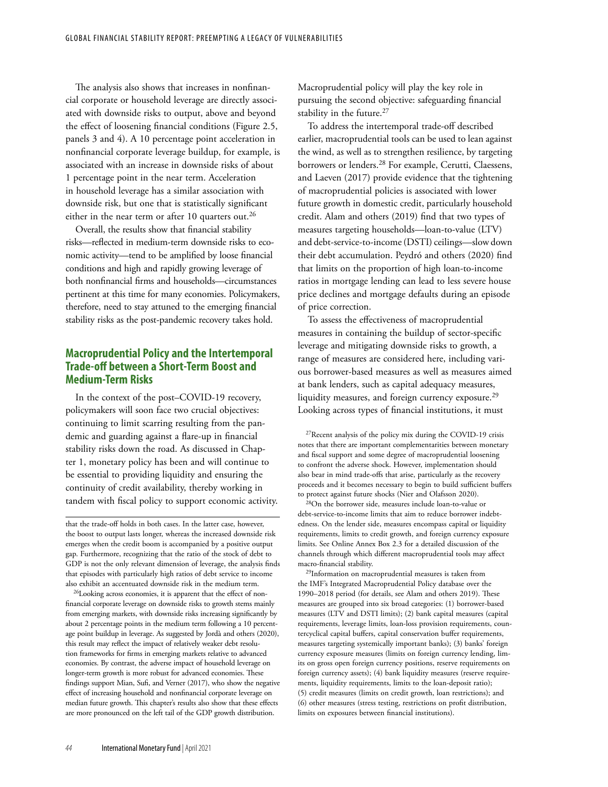The analysis also shows that increases in nonfinancial corporate or household leverage are directly associated with downside risks to output, above and beyond the effect of loosening financial conditions (Figure 2.5, panels 3 and 4). A 10 percentage point acceleration in nonfinancial corporate leverage buildup, for example, is associated with an increase in downside risks of about 1 percentage point in the near term. Acceleration in household leverage has a similar association with downside risk, but one that is statistically significant either in the near term or after 10 quarters out.<sup>26</sup>

Overall, the results show that financial stability risks—reflected in medium-term downside risks to economic activity—tend to be amplified by loose financial conditions and high and rapidly growing leverage of both nonfinancial firms and households—circumstances pertinent at this time for many economies. Policymakers, therefore, need to stay attuned to the emerging financial stability risks as the post-pandemic recovery takes hold.

# **Macroprudential Policy and the Intertemporal Trade-off between a Short-Term Boost and Medium-Term Risks**

In the context of the post–COVID-19 recovery, policymakers will soon face two crucial objectives: continuing to limit scarring resulting from the pandemic and guarding against a flare-up in financial stability risks down the road. As discussed in Chapter 1, monetary policy has been and will continue to be essential to providing liquidity and ensuring the continuity of credit availability, thereby working in tandem with fiscal policy to support economic activity.

26Looking across economies, it is apparent that the effect of nonfinancial corporate leverage on downside risks to growth stems mainly from emerging markets, with downside risks increasing significantly by about 2 percentage points in the medium term following a 10 percentage point buildup in leverage. As suggested by Jordà and others (2020), this result may reflect the impact of relatively weaker debt resolution frameworks for firms in emerging markets relative to advanced economies. By contrast, the adverse impact of household leverage on longer-term growth is more robust for advanced economies. These findings support Mian, Sufi, and Verner (2017), who show the negative effect of increasing household and nonfinancial corporate leverage on median future growth. This chapter's results also show that these effects are more pronounced on the left tail of the GDP growth distribution.

Macroprudential policy will play the key role in pursuing the second objective: safeguarding financial stability in the future.<sup>27</sup>

To address the intertemporal trade-off described earlier, macroprudential tools can be used to lean against the wind, as well as to strengthen resilience, by targeting borrowers or lenders.28 For example, Cerutti, Claessens, and Laeven (2017) provide evidence that the tightening of macroprudential policies is associated with lower future growth in domestic credit, particularly household credit. Alam and others (2019) find that two types of measures targeting households—loan-to-value (LTV) and debt-service-to-income (DSTI) ceilings—slow down their debt accumulation. Peydró and others (2020) find that limits on the proportion of high loan-to-income ratios in mortgage lending can lead to less severe house price declines and mortgage defaults during an episode of price correction.

To assess the effectiveness of macroprudential measures in containing the buildup of sector-specific leverage and mitigating downside risks to growth, a range of measures are considered here, including various borrower-based measures as well as measures aimed at bank lenders, such as capital adequacy measures, liquidity measures, and foreign currency exposure.<sup>29</sup> Looking across types of financial institutions, it must

27Recent analysis of the policy mix during the COVID-19 crisis notes that there are important complementarities between monetary and fiscal support and some degree of macroprudential loosening to confront the adverse shock. However, implementation should also bear in mind trade-offs that arise, particularly as the recovery proceeds and it becomes necessary to begin to build sufficient buffers to protect against future shocks (Nier and Olafsson 2020).

28On the borrower side, measures include loan-to-value or debt-service-to-income limits that aim to reduce borrower indebtedness. On the lender side, measures encompass capital or liquidity requirements, limits to credit growth, and foreign currency exposure limits. See Online Annex Box 2.3 for a detailed discussion of the channels through which different macroprudential tools may affect macro-financial stability.

29Information on macroprudential measures is taken from the IMF's Integrated Macroprudential Policy database over the 1990–2018 period (for details, see Alam and others 2019). These measures are grouped into six broad categories: (1) borrower-based measures (LTV and DSTI limits); (2) bank capital measures (capital requirements, leverage limits, loan-loss provision requirements, countercyclical capital buffers, capital conservation buffer requirements, measures targeting systemically important banks); (3) banks' foreign currency exposure measures (limits on foreign currency lending, limits on gross open foreign currency positions, reserve requirements on foreign currency assets); (4) bank liquidity measures (reserve requirements, liquidity requirements, limits to the loan-deposit ratio); (5) credit measures (limits on credit growth, loan restrictions); and (6) other measures (stress testing, restrictions on profit distribution, limits on exposures between financial institutions).

that the trade-off holds in both cases. In the latter case, however, the boost to output lasts longer, whereas the increased downside risk emerges when the credit boom is accompanied by a positive output gap. Furthermore, recognizing that the ratio of the stock of debt to GDP is not the only relevant dimension of leverage, the analysis finds that episodes with particularly high ratios of debt service to income also exhibit an accentuated downside risk in the medium term.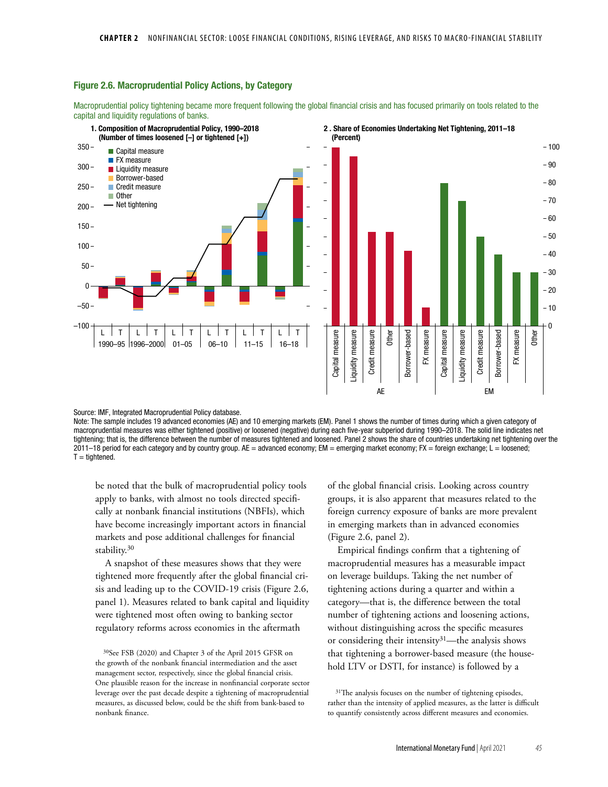#### Figure 2.6. Macroprudential Policy Actions, by Category

Macroprudential policy tightening became more frequent following the global financial crisis and has focused primarily on tools related to the capital and liquidity regulations of banks.



Source: IMF, Integrated Macroprudential Policy database.

Note: The sample includes 19 advanced economies (AE) and 10 emerging markets (EM). Panel 1 shows the number of times during which a given category of macroprudential measures was either tightened (positive) or loosened (negative) during each five-year subperiod during 1990–2018. The solid line indicates net tightening; that is, the difference between the number of measures tightened and loosened. Panel 2 shows the share of countries undertaking net tightening over the 2011–18 period for each category and by country group. AE = advanced economy; EM = emerging market economy; FX = foreign exchange; L = loosened;  $T =$ tightened.

be noted that the bulk of macroprudential policy tools apply to banks, with almost no tools directed specifically at nonbank financial institutions (NBFIs), which have become increasingly important actors in financial markets and pose additional challenges for financial stability.<sup>30</sup>

A snapshot of these measures shows that they were tightened more frequently after the global financial crisis and leading up to the COVID-19 crisis (Figure 2.6, panel 1). Measures related to bank capital and liquidity were tightened most often owing to banking sector regulatory reforms across economies in the aftermath

30See FSB (2020) and Chapter 3 of the April 2015 GFSR on the growth of the nonbank financial intermediation and the asset management sector, respectively, since the global financial crisis. One plausible reason for the increase in nonfinancial corporate sector leverage over the past decade despite a tightening of macroprudential measures, as discussed below, could be the shift from bank-based to nonbank finance.

of the global financial crisis. Looking across country groups, it is also apparent that measures related to the foreign currency exposure of banks are more prevalent in emerging markets than in advanced economies (Figure 2.6, panel 2).

Empirical findings confirm that a tightening of macroprudential measures has a measurable impact on leverage buildups. Taking the net number of tightening actions during a quarter and within a category—that is, the difference between the total number of tightening actions and loosening actions, without distinguishing across the specific measures or considering their intensity<sup>31</sup>—the analysis shows that tightening a borrower-based measure (the household LTV or DSTI, for instance) is followed by a

 $31$ <sup>The analysis focuses on the number of tightening episodes,</sup> rather than the intensity of applied measures, as the latter is difficult to quantify consistently across different measures and economies.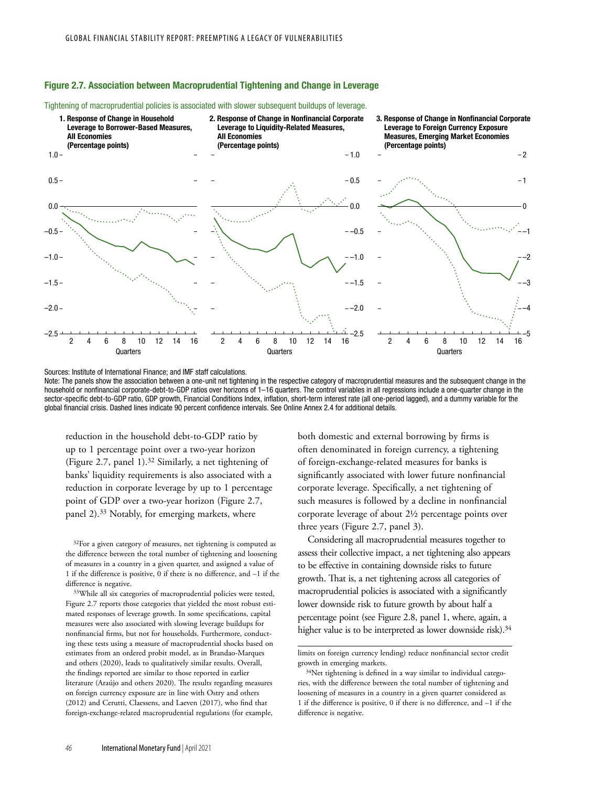## Figure 2.7. Association between Macroprudential Tightening and Change in Leverage



Tightening of macroprudential policies is associated with slower subsequent buildups of leverage.

Sources: Institute of International Finance; and IMF staff calculations.

Note: The panels show the association between a one-unit net tightening in the respective category of macroprudential measures and the subsequent change in the household or nonfinancial corporate-debt-to-GDP ratios over horizons of 1–16 quarters. The control variables in all regressions include a one-quarter change in the sector-specific debt-to-GDP ratio, GDP growth, Financial Conditions Index, inflation, short-term interest rate (all one-period lagged), and a dummy variable for the global financial crisis. Dashed lines indicate 90 percent confidence intervals. See Online Annex 2.4 for additional details.

reduction in the household debt-to-GDP ratio by up to 1 percentage point over a two-year horizon (Figure 2.7, panel 1).32 Similarly, a net tightening of banks' liquidity requirements is also associated with a reduction in corporate leverage by up to 1 percentage point of GDP over a two-year horizon (Figure 2.7, panel 2).33 Notably, for emerging markets, where

<sup>32</sup>For a given category of measures, net tightening is computed as the difference between the total number of tightening and loosening of measures in a country in a given quarter, and assigned a value of 1 if the difference is positive, 0 if there is no difference, and –1 if the difference is negative.

33While all six categories of macroprudential policies were tested, Figure 2.7 reports those categories that yielded the most robust estimated responses of leverage growth. In some specifications, capital measures were also associated with slowing leverage buildups for nonfinancial firms, but not for households. Furthermore, conducting these tests using a measure of macroprudential shocks based on estimates from an ordered probit model, as in Brandao-Marques and others (2020), leads to qualitatively similar results. Overall, the findings reported are similar to those reported in earlier literature (Araújo and others 2020). The results regarding measures on foreign currency exposure are in line with Ostry and others (2012) and Cerutti, Claessens, and Laeven (2017), who find that foreign-exchange-related macroprudential regulations (for example,

both domestic and external borrowing by firms is often denominated in foreign currency, a tightening of foreign-exchange-related measures for banks is significantly associated with lower future nonfinancial corporate leverage. Specifically, a net tightening of such measures is followed by a decline in nonfinancial corporate leverage of about 2½ percentage points over three years (Figure 2.7, panel 3).

Considering all macroprudential measures together to assess their collective impact, a net tightening also appears to be effective in containing downside risks to future growth. That is, a net tightening across all categories of macroprudential policies is associated with a significantly lower downside risk to future growth by about half a percentage point (see Figure 2.8, panel 1, where, again, a higher value is to be interpreted as lower downside risk). $34$ 

limits on foreign currency lending) reduce nonfinancial sector credit growth in emerging markets.

<sup>&</sup>lt;sup>34</sup>Net tightening is defined in a way similar to individual categories, with the difference between the total number of tightening and loosening of measures in a country in a given quarter considered as 1 if the difference is positive, 0 if there is no difference, and –1 if the difference is negative.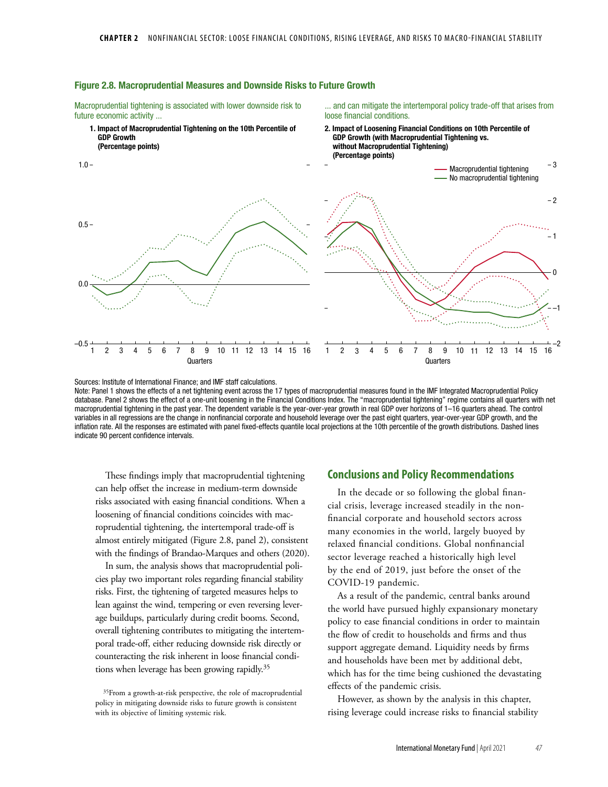

#### Figure 2.8. Macroprudential Measures and Downside Risks to Future Growth

Macroprudential tightening is associated with lower downside risk to future economic activity ...

... and can mitigate the intertemporal policy trade-off that arises from loose financial conditions.

2. Impact of Loosening Financial Conditions on 10th Percentile of

Sources: Institute of International Finance; and IMF staff calculations. Note: Panel 1 shows the effects of a net tightening event across the 17 types of macroprudential measures found in the IMF Integrated Macroprudential Policy database. Panel 2 shows the effect of a one-unit loosening in the Financial Conditions Index. The "macroprudential tightening" regime contains all quarters with net macroprudential tightening in the past year. The dependent variable is the year-over-year growth in real GDP over horizons of 1–16 quarters ahead. The control variables in all regressions are the change in nonfinancial corporate and household leverage over the past eight quarters, year-over-year GDP growth, and the inflation rate. All the responses are estimated with panel fixed-effects quantile local projections at the 10th percentile of the growth distributions. Dashed lines indicate 90 percent confidence intervals.

These findings imply that macroprudential tightening can help offset the increase in medium-term downside risks associated with easing financial conditions. When a loosening of financial conditions coincides with macroprudential tightening, the intertemporal trade-off is almost entirely mitigated (Figure 2.8, panel 2), consistent with the findings of Brandao-Marques and others (2020).

In sum, the analysis shows that macroprudential policies play two important roles regarding financial stability risks. First, the tightening of targeted measures helps to lean against the wind, tempering or even reversing leverage buildups, particularly during credit booms. Second, overall tightening contributes to mitigating the intertemporal trade-off, either reducing downside risk directly or counteracting the risk inherent in loose financial conditions when leverage has been growing rapidly.35

## **Conclusions and Policy Recommendations**

In the decade or so following the global financial crisis, leverage increased steadily in the nonfinancial corporate and household sectors across many economies in the world, largely buoyed by relaxed financial conditions. Global nonfinancial sector leverage reached a historically high level by the end of 2019, just before the onset of the COVID-19 pandemic.

As a result of the pandemic, central banks around the world have pursued highly expansionary monetary policy to ease financial conditions in order to maintain the flow of credit to households and firms and thus support aggregate demand. Liquidity needs by firms and households have been met by additional debt, which has for the time being cushioned the devastating effects of the pandemic crisis.

However, as shown by the analysis in this chapter, rising leverage could increase risks to financial stability

<sup>35</sup>From a growth-at-risk perspective, the role of macroprudential policy in mitigating downside risks to future growth is consistent with its objective of limiting systemic risk.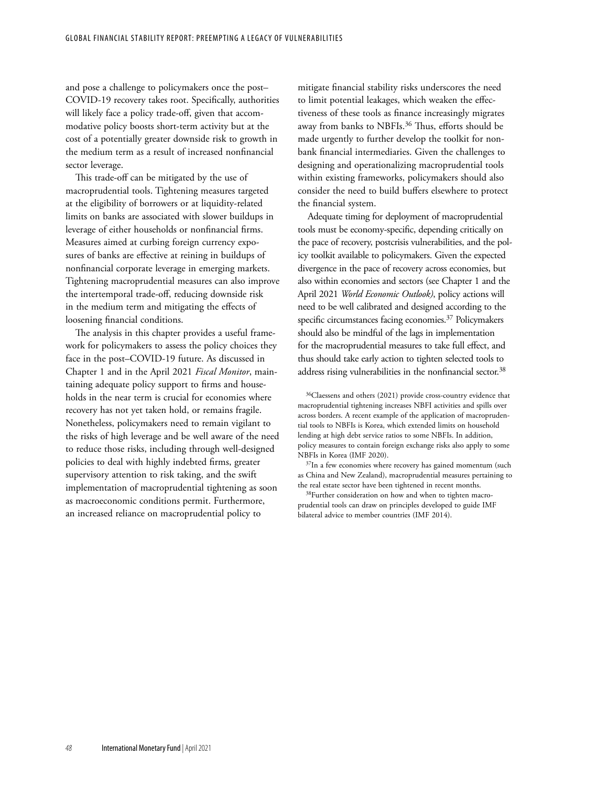and pose a challenge to policymakers once the post– COVID-19 recovery takes root. Specifically, authorities will likely face a policy trade-off, given that accommodative policy boosts short-term activity but at the cost of a potentially greater downside risk to growth in the medium term as a result of increased nonfinancial sector leverage.

This trade-off can be mitigated by the use of macroprudential tools. Tightening measures targeted at the eligibility of borrowers or at liquidity-related limits on banks are associated with slower buildups in leverage of either households or nonfinancial firms. Measures aimed at curbing foreign currency exposures of banks are effective at reining in buildups of nonfinancial corporate leverage in emerging markets. Tightening macroprudential measures can also improve the intertemporal trade-off, reducing downside risk in the medium term and mitigating the effects of loosening financial conditions.

The analysis in this chapter provides a useful framework for policymakers to assess the policy choices they face in the post–COVID-19 future. As discussed in Chapter 1 and in the April 2021 *Fiscal Monitor*, maintaining adequate policy support to firms and households in the near term is crucial for economies where recovery has not yet taken hold, or remains fragile. Nonetheless, policymakers need to remain vigilant to the risks of high leverage and be well aware of the need to reduce those risks, including through well-designed policies to deal with highly indebted firms, greater supervisory attention to risk taking, and the swift implementation of macroprudential tightening as soon as macroeconomic conditions permit. Furthermore, an increased reliance on macroprudential policy to

mitigate financial stability risks underscores the need to limit potential leakages, which weaken the effectiveness of these tools as finance increasingly migrates away from banks to NBFIs.<sup>36</sup> Thus, efforts should be made urgently to further develop the toolkit for nonbank financial intermediaries. Given the challenges to designing and operationalizing macroprudential tools within existing frameworks, policymakers should also consider the need to build buffers elsewhere to protect the financial system.

Adequate timing for deployment of macroprudential tools must be economy-specific, depending critically on the pace of recovery, postcrisis vulnerabilities, and the policy toolkit available to policymakers. Given the expected divergence in the pace of recovery across economies, but also within economies and sectors (see Chapter 1 and the April 2021 *World Economic Outlook)*, policy actions will need to be well calibrated and designed according to the specific circumstances facing economies.<sup>37</sup> Policymakers should also be mindful of the lags in implementation for the macroprudential measures to take full effect, and thus should take early action to tighten selected tools to address rising vulnerabilities in the nonfinancial sector.<sup>38</sup>

38Further consideration on how and when to tighten macroprudential tools can draw on principles developed to guide IMF bilateral advice to member countries (IMF 2014).

<sup>36</sup>Claessens and others (2021) provide cross-country evidence that macroprudential tightening increases NBFI activities and spills over across borders. A recent example of the application of macroprudential tools to NBFIs is Korea, which extended limits on household lending at high debt service ratios to some NBFIs. In addition, policy measures to contain foreign exchange risks also apply to some NBFIs in Korea (IMF 2020).

<sup>&</sup>lt;sup>37</sup>In a few economies where recovery has gained momentum (such as China and New Zealand), macroprudential measures pertaining to the real estate sector have been tightened in recent months.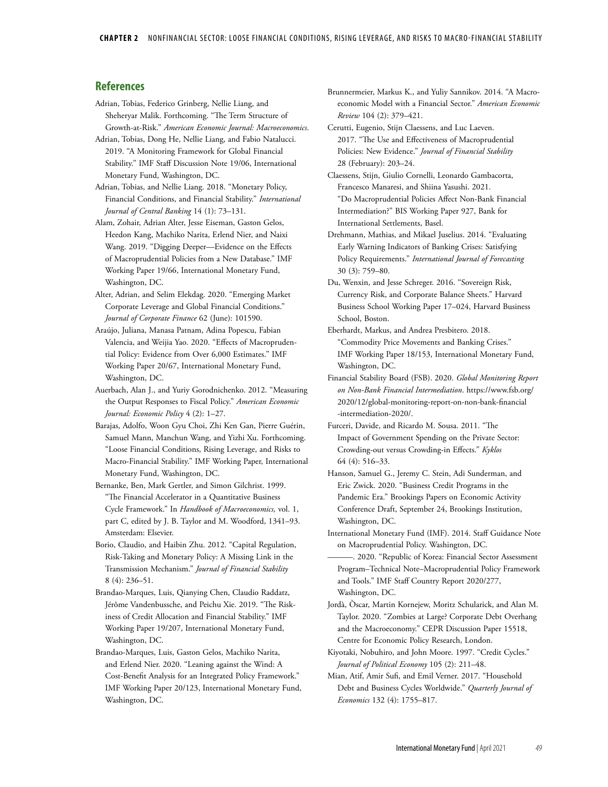### **References**

- Adrian, Tobias, Federico Grinberg, Nellie Liang, and Sheheryar Malik. Forthcoming. "The Term Structure of Growth-at-Risk." *American Economic Journal: Macroeconomics*.
- Adrian, Tobias, Dong He, Nellie Liang, and Fabio Natalucci. 2019. "A Monitoring Framework for Global Financial Stability." IMF Staff Discussion Note 19/06, International Monetary Fund, Washington, DC.
- Adrian, Tobias, and Nellie Liang. 2018. "Monetary Policy, Financial Conditions, and Financial Stability." *International Journal of Central Banking* 14 (1): 73–131.
- Alam, Zohair, Adrian Alter, Jesse Eiseman, Gaston Gelos, Heedon Kang, Machiko Narita, Erlend Nier, and Naixi Wang. 2019. "Digging Deeper—Evidence on the Effects of Macroprudential Policies from a New Database." IMF Working Paper 19/66, International Monetary Fund, Washington, DC.
- Alter, Adrian, and Selim Elekdag. 2020. "Emerging Market Corporate Leverage and Global Financial Conditions." *Journal of Corporate Finance* 62 (June): 101590.
- Araújo, Juliana, Manasa Patnam, Adina Popescu, Fabian Valencia, and Weijia Yao. 2020. "Effects of Macroprudential Policy: Evidence from Over 6,000 Estimates." IMF Working Paper 20/67, International Monetary Fund, Washington, DC.
- Auerbach, Alan J., and Yuriy Gorodnichenko. 2012. "Measuring the Output Responses to Fiscal Policy." *American Economic Journal: Economic Policy* 4 (2): 1–27.
- Barajas, Adolfo, Woon Gyu Choi, Zhi Ken Gan, Pierre Guérin, Samuel Mann, Manchun Wang, and Yizhi Xu. Forthcoming. "Loose Financial Conditions, Rising Leverage, and Risks to Macro-Financial Stability." IMF Working Paper, International Monetary Fund, Washington, DC.
- Bernanke, Ben, Mark Gertler, and Simon Gilchrist. 1999. "The Financial Accelerator in a Quantitative Business Cycle Framework." In *Handbook of Macroeconomics,* vol. 1, part C, edited by J. B. Taylor and M. Woodford, 1341–93. Amsterdam: Elsevier.
- Borio, Claudio, and Haibin Zhu. 2012. "Capital Regulation, Risk-Taking and Monetary Policy: A Missing Link in the Transmission Mechanism." *Journal of Financial Stability* 8 (4): 236–51.
- Brandao-Marques, Luis, Qianying Chen, Claudio Raddatz, Jérôme Vandenbussche, and Peichu Xie. 2019. "The Riskiness of Credit Allocation and Financial Stability." IMF Working Paper 19/207, International Monetary Fund, Washington, DC.
- Brandao-Marques, Luis, Gaston Gelos, Machiko Narita, and Erlend Nier. 2020. "Leaning against the Wind: A Cost-Benefit Analysis for an Integrated Policy Framework." IMF Working Paper 20/123, International Monetary Fund, Washington, DC.
- Brunnermeier, Markus K., and Yuliy Sannikov. 2014. "A Macroeconomic Model with a Financial Sector." *American Economic Review* 104 (2): 379–421.
- Cerutti, Eugenio, Stijn Claessens, and Luc Laeven. 2017. "The Use and Effectiveness of Macroprudential Policies: New Evidence." *Journal of Financial Stability* 28 (February): 203–24.
- Claessens, Stijn, Giulio Cornelli, Leonardo Gambacorta, Francesco Manaresi, and Shiina Yasushi. 2021. "Do Macroprudential Policies Affect Non-Bank Financial Intermediation?" BIS Working Paper 927, Bank for International Settlements, Basel.
- Drehmann, Mathias, and Mikael Juselius. 2014. "Evaluating Early Warning Indicators of Banking Crises: Satisfying Policy Requirements." *International Journal of Forecasting* 30 (3): 759–80.
- Du, Wenxin, and Jesse Schreger. 2016. "Sovereign Risk, Currency Risk, and Corporate Balance Sheets." Harvard Business School Working Paper 17–024, Harvard Business School, Boston.
- Eberhardt, Markus, and Andrea Presbitero. 2018. "Commodity Price Movements and Banking Crises." IMF Working Paper 18/153, International Monetary Fund, Washington, DC.
- Financial Stability Board (FSB). 2020. *Global Monitoring Report on Non-Bank Financial Intermediation*. https://www.fsb.org/ 2020/12/global-monitoring-report-on-non-bank-financial -intermediation-2020/.
- Furceri, Davide, and Ricardo M. Sousa. 2011. "The Impact of Government Spending on the Private Sector: Crowding-out versus Crowding-in Effects." *Kyklos* 64 (4): 516–33.
- Hanson, Samuel G., Jeremy C. Stein, Adi Sunderman, and Eric Zwick. 2020. "Business Credit Programs in the Pandemic Era." Brookings Papers on Economic Activity Conference Draft, September 24, Brookings Institution, Washington, DC.
- International Monetary Fund (IMF). 2014. Staff Guidance Note on Macroprudential Policy. Washington, DC.
- ———. 2020. "Republic of Korea: Financial Sector Assessment Program–Technical Note–Macroprudential Policy Framework and Tools." IMF Staff Country Report 2020/277, Washington, DC.
- Jordà, Òscar, Martin Kornejew, Moritz Schularick, and Alan M. Taylor. 2020. "Zombies at Large? Corporate Debt Overhang and the Macroeconomy." CEPR Discussion Paper 15518, Centre for Economic Policy Research, London.
- Kiyotaki, Nobuhiro, and John Moore. 1997. "Credit Cycles." *Journal of Political Economy* 105 (2): 211–48.
- Mian, Atif, Amir Sufi, and Emil Verner. 2017. "Household Debt and Business Cycles Worldwide." *Quarterly Journal of Economics* 132 (4): 1755–817.